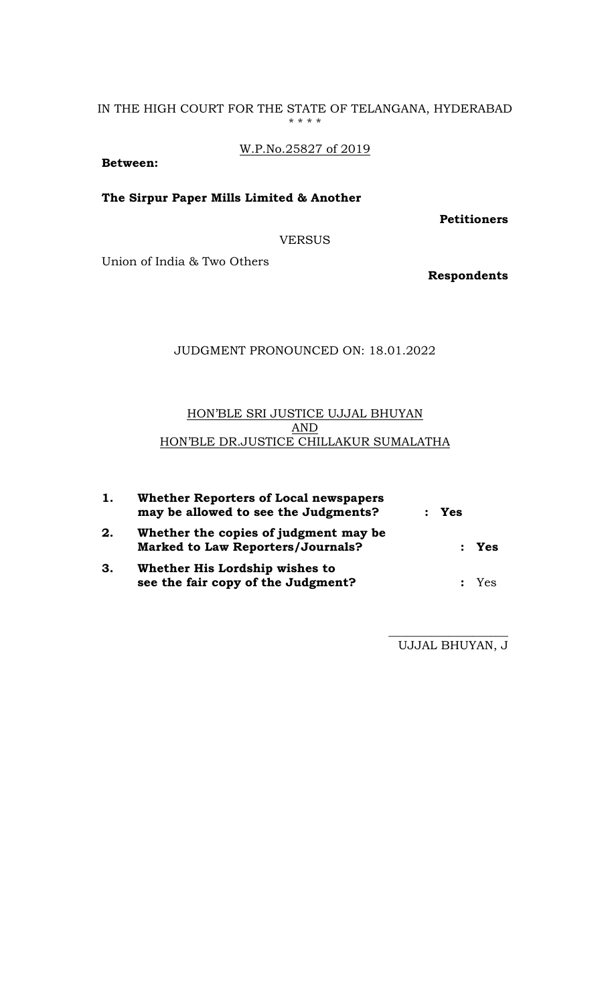### IN THE HIGH COURT FOR THE STATE OF TELANGANA, HYDERABAD \* \* \* \*

W.P.No.25827 of 2019

**Between:**

**The Sirpur Paper Mills Limited & Another**

**Petitioners** 

VERSUS

Union of India & Two Others

**Respondents**

# JUDGMENT PRONOUNCED ON: 18.01.2022

# HON'BLE SRI JUSTICE UJJAL BHUYAN AND HON'BLE DR.JUSTICE CHILLAKUR SUMALATHA

| 1. | <b>Whether Reporters of Local newspapers</b><br>may be allowed to see the Judgments? | $:$ Yes |         |
|----|--------------------------------------------------------------------------------------|---------|---------|
| 2. | Whether the copies of judgment may be<br><b>Marked to Law Reporters/Journals?</b>    |         | $:$ Yes |
| 3. | Whether His Lordship wishes to<br>see the fair copy of the Judgment?                 |         | : Yes   |

 $\_$ UJJAL BHUYAN, J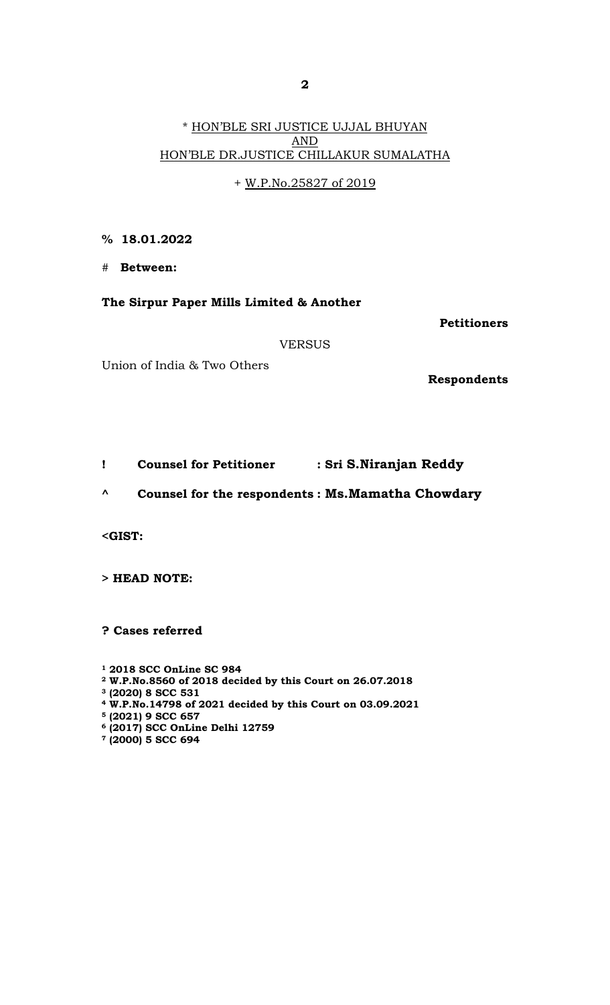# \* HON'BLE SRI JUSTICE UJJAL BHUYAN AND HON'BLE DR.JUSTICE CHILLAKUR SUMALATHA

+ W.P.No.25827 of 2019

# **% 18.01.2022**

# **Between:** 

## **The Sirpur Paper Mills Limited & Another**

**Petitioners** 

VERSUS

Union of India & Two Others

**Respondents**

**! Counsel for Petitioner : Sri S.Niranjan Reddy**

**^ Counsel for the respondents : Ms.Mamatha Chowdary**

**<GIST:** 

**> HEAD NOTE:** 

**? Cases referred** 

**1 2018 SCC OnLine SC 984**

- **2 W.P.No.8560 of 2018 decided by this Court on 26.07.2018**
- **3 (2020) 8 SCC 531**
- **4 W.P.No.14798 of 2021 decided by this Court on 03.09.2021**
- **5 (2021) 9 SCC 657**
- **6 (2017) SCC OnLine Delhi 12759**
- **7 (2000) 5 SCC 694**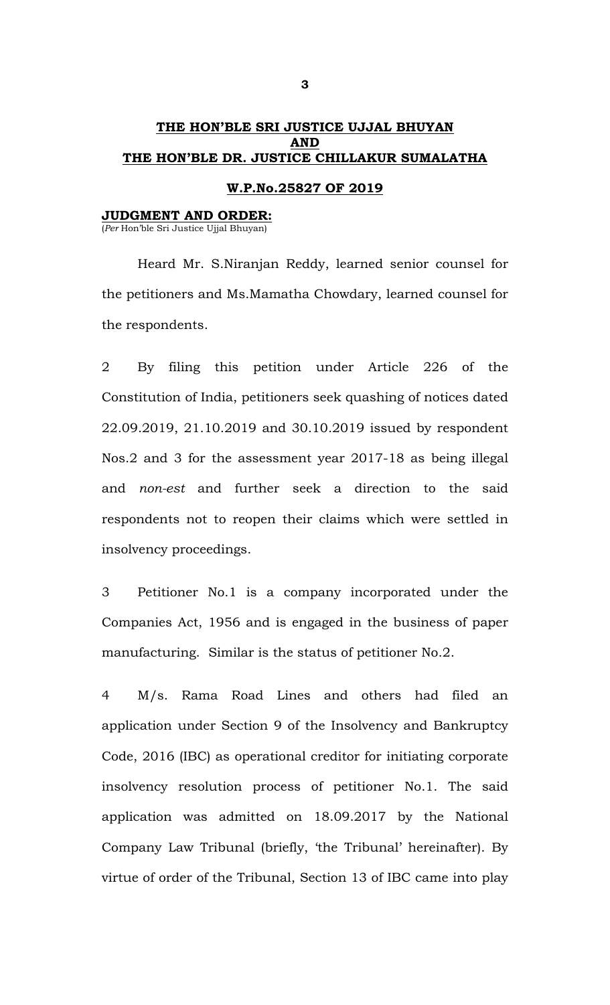# **THE HON'BLE SRI JUSTICE UJJAL BHUYAN AND THE HON'BLE DR. JUSTICE CHILLAKUR SUMALATHA**

### **W.P.No.25827 OF 2019**

#### **JUDGMENT AND ORDER:**

(*Per* Hon'ble Sri Justice Ujjal Bhuyan)

 Heard Mr. S.Niranjan Reddy, learned senior counsel for the petitioners and Ms.Mamatha Chowdary, learned counsel for the respondents.

2 By filing this petition under Article 226 of the Constitution of India, petitioners seek quashing of notices dated 22.09.2019, 21.10.2019 and 30.10.2019 issued by respondent Nos.2 and 3 for the assessment year 2017-18 as being illegal and *non-est* and further seek a direction to the said respondents not to reopen their claims which were settled in insolvency proceedings.

3 Petitioner No.1 is a company incorporated under the Companies Act, 1956 and is engaged in the business of paper manufacturing. Similar is the status of petitioner No.2.

4 M/s. Rama Road Lines and others had filed an application under Section 9 of the Insolvency and Bankruptcy Code, 2016 (IBC) as operational creditor for initiating corporate insolvency resolution process of petitioner No.1. The said application was admitted on 18.09.2017 by the National Company Law Tribunal (briefly, 'the Tribunal' hereinafter). By virtue of order of the Tribunal, Section 13 of IBC came into play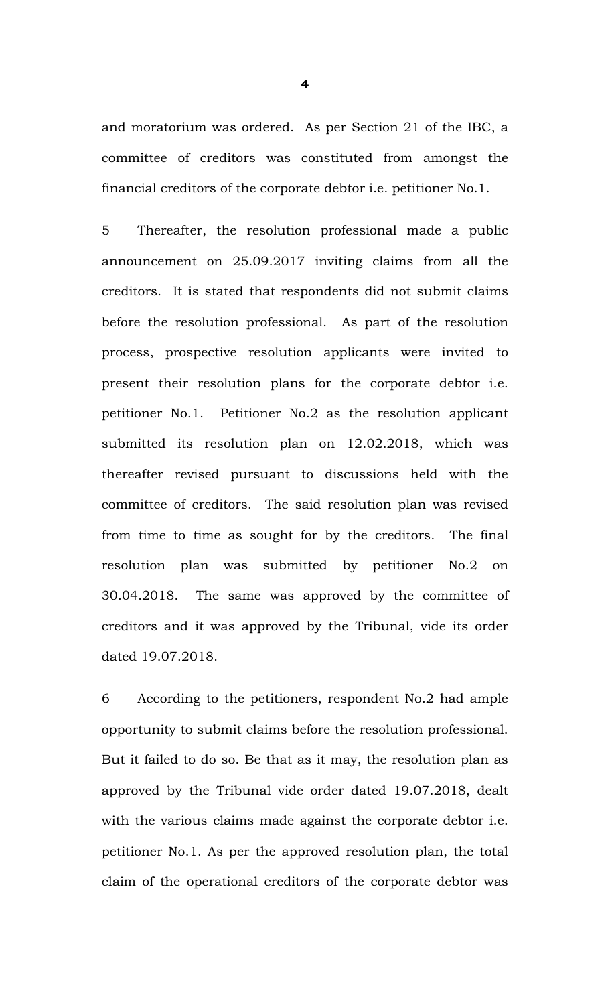and moratorium was ordered. As per Section 21 of the IBC, a committee of creditors was constituted from amongst the financial creditors of the corporate debtor i.e. petitioner No.1.

5 Thereafter, the resolution professional made a public announcement on 25.09.2017 inviting claims from all the creditors. It is stated that respondents did not submit claims before the resolution professional. As part of the resolution process, prospective resolution applicants were invited to present their resolution plans for the corporate debtor i.e. petitioner No.1. Petitioner No.2 as the resolution applicant submitted its resolution plan on 12.02.2018, which was thereafter revised pursuant to discussions held with the committee of creditors. The said resolution plan was revised from time to time as sought for by the creditors. The final resolution plan was submitted by petitioner No.2 on 30.04.2018. The same was approved by the committee of creditors and it was approved by the Tribunal, vide its order dated 19.07.2018.

6 According to the petitioners, respondent No.2 had ample opportunity to submit claims before the resolution professional. But it failed to do so. Be that as it may, the resolution plan as approved by the Tribunal vide order dated 19.07.2018, dealt with the various claims made against the corporate debtor i.e. petitioner No.1. As per the approved resolution plan, the total claim of the operational creditors of the corporate debtor was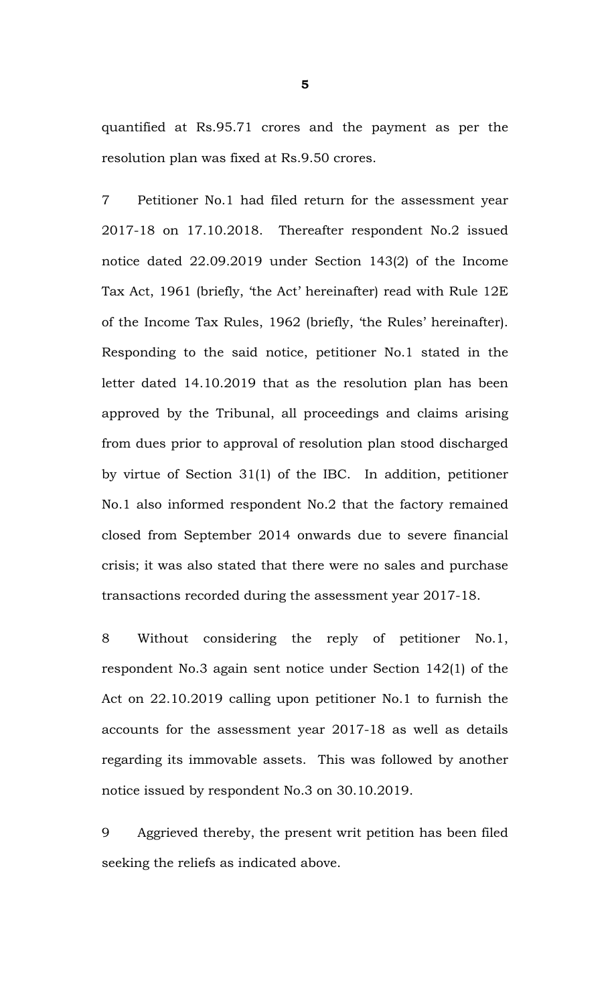quantified at Rs.95.71 crores and the payment as per the resolution plan was fixed at Rs.9.50 crores.

7 Petitioner No.1 had filed return for the assessment year 2017-18 on 17.10.2018. Thereafter respondent No.2 issued notice dated 22.09.2019 under Section 143(2) of the Income Tax Act, 1961 (briefly, 'the Act' hereinafter) read with Rule 12E of the Income Tax Rules, 1962 (briefly, 'the Rules' hereinafter). Responding to the said notice, petitioner No.1 stated in the letter dated 14.10.2019 that as the resolution plan has been approved by the Tribunal, all proceedings and claims arising from dues prior to approval of resolution plan stood discharged by virtue of Section 31(1) of the IBC. In addition, petitioner No.1 also informed respondent No.2 that the factory remained closed from September 2014 onwards due to severe financial crisis; it was also stated that there were no sales and purchase transactions recorded during the assessment year 2017-18.

8 Without considering the reply of petitioner No.1, respondent No.3 again sent notice under Section 142(1) of the Act on 22.10.2019 calling upon petitioner No.1 to furnish the accounts for the assessment year 2017-18 as well as details regarding its immovable assets. This was followed by another notice issued by respondent No.3 on 30.10.2019.

9 Aggrieved thereby, the present writ petition has been filed seeking the reliefs as indicated above.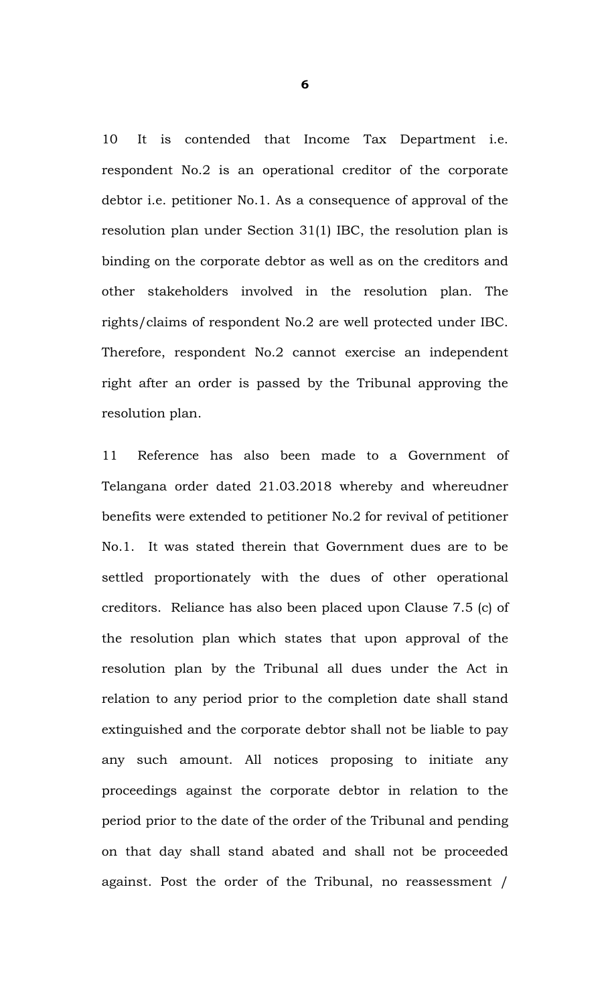10 It is contended that Income Tax Department i.e. respondent No.2 is an operational creditor of the corporate debtor i.e. petitioner No.1. As a consequence of approval of the resolution plan under Section 31(1) IBC, the resolution plan is binding on the corporate debtor as well as on the creditors and other stakeholders involved in the resolution plan. The rights/claims of respondent No.2 are well protected under IBC. Therefore, respondent No.2 cannot exercise an independent right after an order is passed by the Tribunal approving the resolution plan.

11 Reference has also been made to a Government of Telangana order dated 21.03.2018 whereby and whereudner benefits were extended to petitioner No.2 for revival of petitioner No.1. It was stated therein that Government dues are to be settled proportionately with the dues of other operational creditors. Reliance has also been placed upon Clause 7.5 (c) of the resolution plan which states that upon approval of the resolution plan by the Tribunal all dues under the Act in relation to any period prior to the completion date shall stand extinguished and the corporate debtor shall not be liable to pay any such amount. All notices proposing to initiate any proceedings against the corporate debtor in relation to the period prior to the date of the order of the Tribunal and pending on that day shall stand abated and shall not be proceeded against. Post the order of the Tribunal, no reassessment /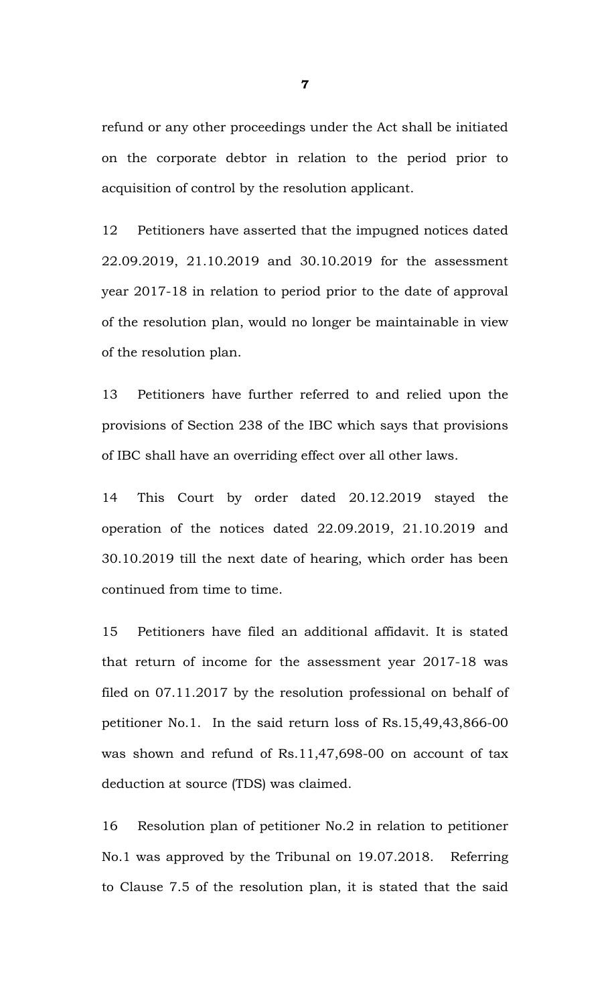refund or any other proceedings under the Act shall be initiated on the corporate debtor in relation to the period prior to acquisition of control by the resolution applicant.

12 Petitioners have asserted that the impugned notices dated 22.09.2019, 21.10.2019 and 30.10.2019 for the assessment year 2017-18 in relation to period prior to the date of approval of the resolution plan, would no longer be maintainable in view of the resolution plan.

13 Petitioners have further referred to and relied upon the provisions of Section 238 of the IBC which says that provisions of IBC shall have an overriding effect over all other laws.

14 This Court by order dated 20.12.2019 stayed the operation of the notices dated 22.09.2019, 21.10.2019 and 30.10.2019 till the next date of hearing, which order has been continued from time to time.

15 Petitioners have filed an additional affidavit. It is stated that return of income for the assessment year 2017-18 was filed on 07.11.2017 by the resolution professional on behalf of petitioner No.1. In the said return loss of Rs.15,49,43,866-00 was shown and refund of Rs.11,47,698-00 on account of tax deduction at source (TDS) was claimed.

16 Resolution plan of petitioner No.2 in relation to petitioner No.1 was approved by the Tribunal on 19.07.2018. Referring to Clause 7.5 of the resolution plan, it is stated that the said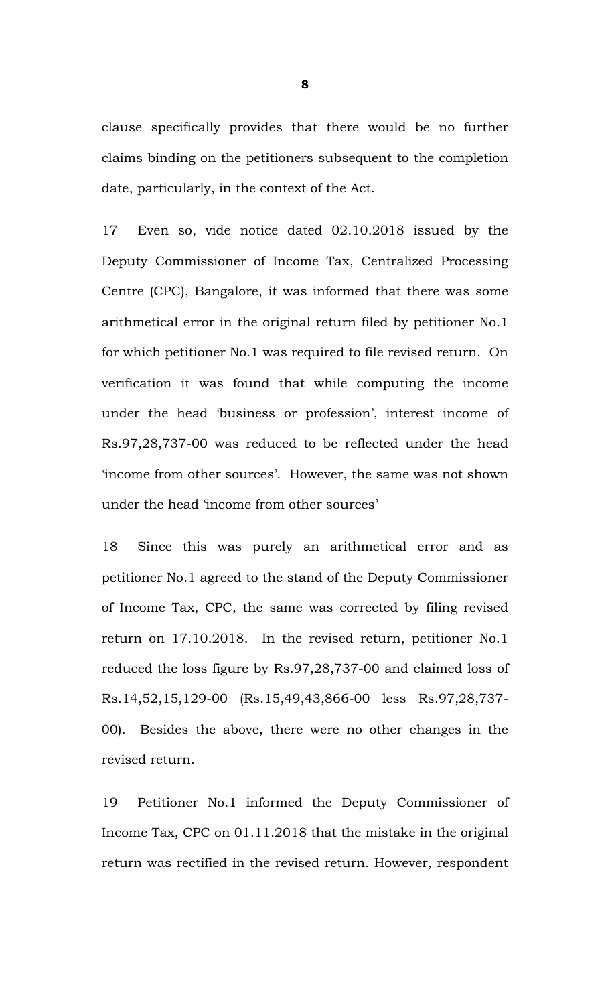clause specifically provides that there would be no further claims binding on the petitioners subsequent to the completion date, particularly, in the context of the Act.

17 Even so, vide notice dated 02.10.2018 issued by the Deputy Commissioner of Income Tax, Centralized Processing Centre (CPC), Bangalore, it was informed that there was some arithmetical error in the original return filed by petitioner No.1 for which petitioner No.1 was required to file revised return. On verification it was found that while computing the income under the head 'business or profession', interest income of Rs.97,28,737-00 was reduced to be reflected under the head 'income from other sources'. However, the same was not shown under the head 'income from other sources'

18 Since this was purely an arithmetical error and as petitioner No.1 agreed to the stand of the Deputy Commissioner of Income Tax, CPC, the same was corrected by filing revised return on 17.10.2018. In the revised return, petitioner No.1 reduced the loss figure by Rs.97,28,737-00 and claimed loss of Rs.14,52,15,129-00 (Rs.15,49,43,866-00 less Rs.97,28,737- 00). Besides the above, there were no other changes in the revised return.

19 Petitioner No.1 informed the Deputy Commissioner of Income Tax, CPC on 01.11.2018 that the mistake in the original return was rectified in the revised return. However, respondent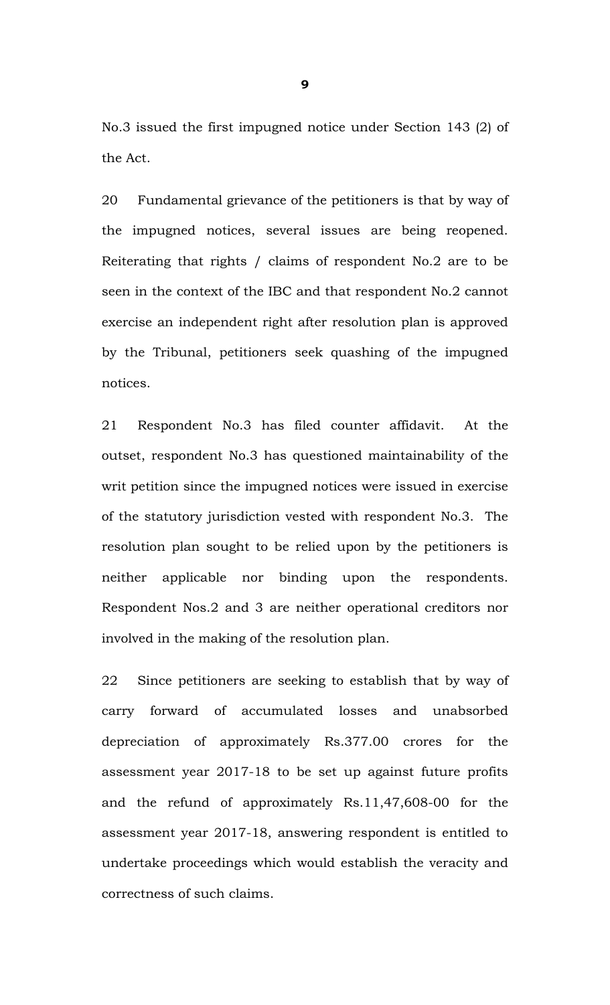No.3 issued the first impugned notice under Section 143 (2) of the Act.

20 Fundamental grievance of the petitioners is that by way of the impugned notices, several issues are being reopened. Reiterating that rights / claims of respondent No.2 are to be seen in the context of the IBC and that respondent No.2 cannot exercise an independent right after resolution plan is approved by the Tribunal, petitioners seek quashing of the impugned notices.

21 Respondent No.3 has filed counter affidavit. At the outset, respondent No.3 has questioned maintainability of the writ petition since the impugned notices were issued in exercise of the statutory jurisdiction vested with respondent No.3. The resolution plan sought to be relied upon by the petitioners is neither applicable nor binding upon the respondents. Respondent Nos.2 and 3 are neither operational creditors nor involved in the making of the resolution plan.

22 Since petitioners are seeking to establish that by way of carry forward of accumulated losses and unabsorbed depreciation of approximately Rs.377.00 crores for the assessment year 2017-18 to be set up against future profits and the refund of approximately Rs.11,47,608-00 for the assessment year 2017-18, answering respondent is entitled to undertake proceedings which would establish the veracity and correctness of such claims.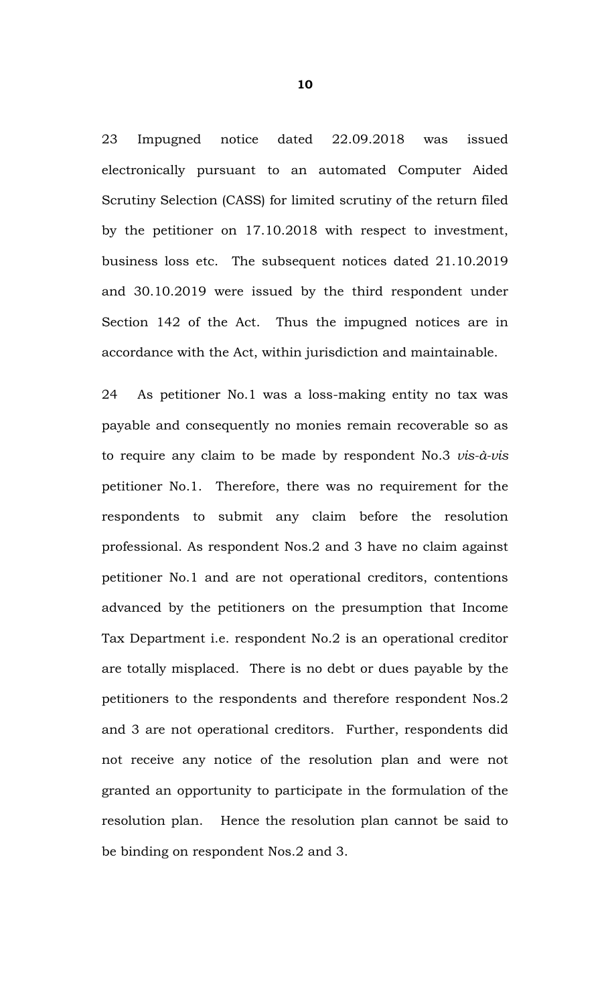23 Impugned notice dated 22.09.2018 was issued electronically pursuant to an automated Computer Aided Scrutiny Selection (CASS) for limited scrutiny of the return filed by the petitioner on 17.10.2018 with respect to investment, business loss etc. The subsequent notices dated 21.10.2019 and 30.10.2019 were issued by the third respondent under Section 142 of the Act. Thus the impugned notices are in accordance with the Act, within jurisdiction and maintainable.

24 As petitioner No.1 was a loss-making entity no tax was payable and consequently no monies remain recoverable so as to require any claim to be made by respondent No.3 *vis-à-vis* petitioner No.1. Therefore, there was no requirement for the respondents to submit any claim before the resolution professional. As respondent Nos.2 and 3 have no claim against petitioner No.1 and are not operational creditors, contentions advanced by the petitioners on the presumption that Income Tax Department i.e. respondent No.2 is an operational creditor are totally misplaced. There is no debt or dues payable by the petitioners to the respondents and therefore respondent Nos.2 and 3 are not operational creditors. Further, respondents did not receive any notice of the resolution plan and were not granted an opportunity to participate in the formulation of the resolution plan. Hence the resolution plan cannot be said to be binding on respondent Nos.2 and 3.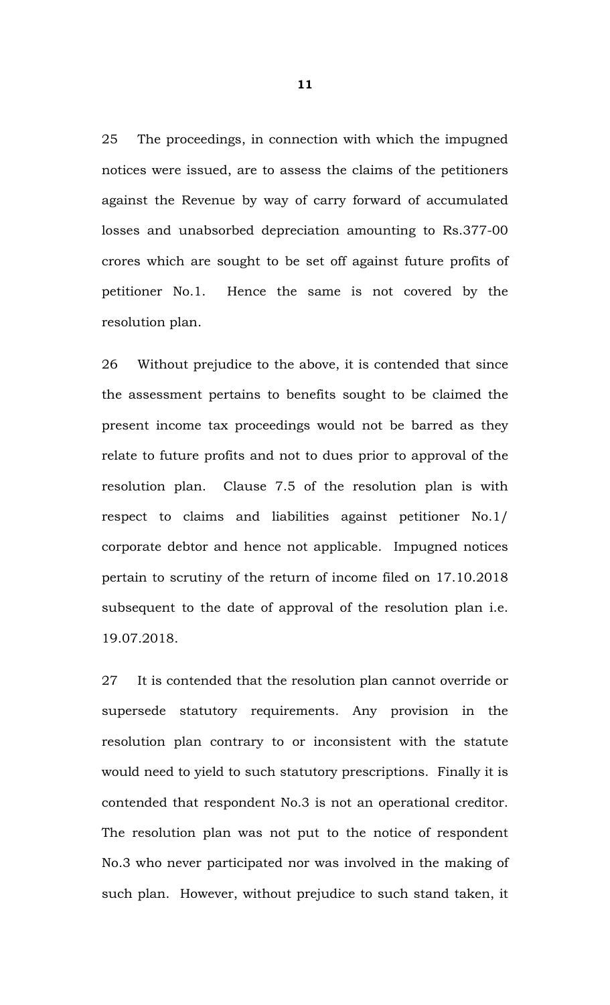25 The proceedings, in connection with which the impugned notices were issued, are to assess the claims of the petitioners against the Revenue by way of carry forward of accumulated losses and unabsorbed depreciation amounting to Rs.377-00 crores which are sought to be set off against future profits of petitioner No.1. Hence the same is not covered by the resolution plan.

26 Without prejudice to the above, it is contended that since the assessment pertains to benefits sought to be claimed the present income tax proceedings would not be barred as they relate to future profits and not to dues prior to approval of the resolution plan. Clause 7.5 of the resolution plan is with respect to claims and liabilities against petitioner No.1/ corporate debtor and hence not applicable. Impugned notices pertain to scrutiny of the return of income filed on 17.10.2018 subsequent to the date of approval of the resolution plan i.e. 19.07.2018.

27 It is contended that the resolution plan cannot override or supersede statutory requirements. Any provision in the resolution plan contrary to or inconsistent with the statute would need to yield to such statutory prescriptions. Finally it is contended that respondent No.3 is not an operational creditor. The resolution plan was not put to the notice of respondent No.3 who never participated nor was involved in the making of such plan. However, without prejudice to such stand taken, it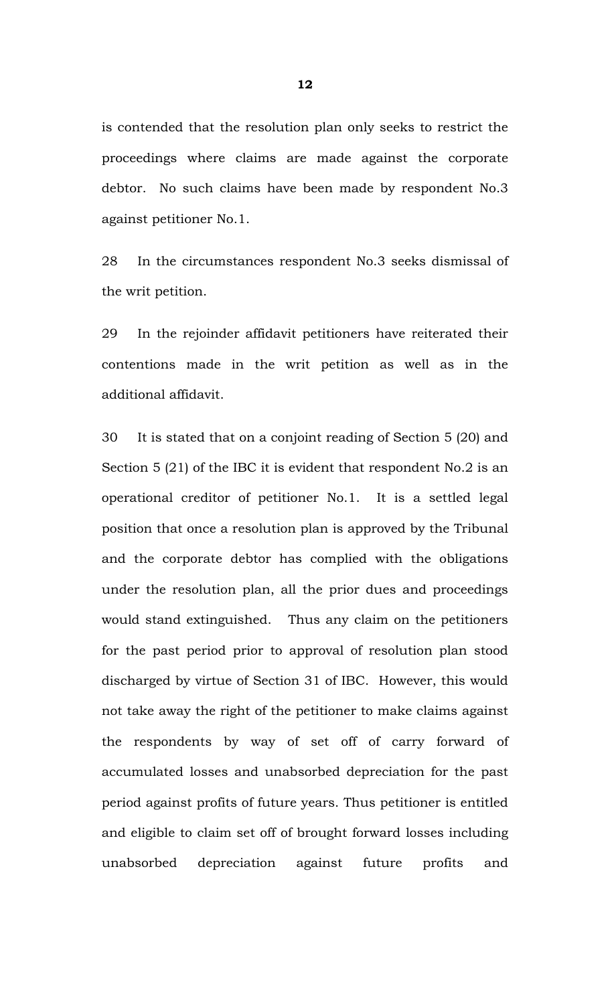is contended that the resolution plan only seeks to restrict the proceedings where claims are made against the corporate debtor. No such claims have been made by respondent No.3 against petitioner No.1.

28 In the circumstances respondent No.3 seeks dismissal of the writ petition.

29 In the rejoinder affidavit petitioners have reiterated their contentions made in the writ petition as well as in the additional affidavit.

30 It is stated that on a conjoint reading of Section 5 (20) and Section 5 (21) of the IBC it is evident that respondent No.2 is an operational creditor of petitioner No.1. It is a settled legal position that once a resolution plan is approved by the Tribunal and the corporate debtor has complied with the obligations under the resolution plan, all the prior dues and proceedings would stand extinguished. Thus any claim on the petitioners for the past period prior to approval of resolution plan stood discharged by virtue of Section 31 of IBC. However, this would not take away the right of the petitioner to make claims against the respondents by way of set off of carry forward of accumulated losses and unabsorbed depreciation for the past period against profits of future years. Thus petitioner is entitled and eligible to claim set off of brought forward losses including unabsorbed depreciation against future profits and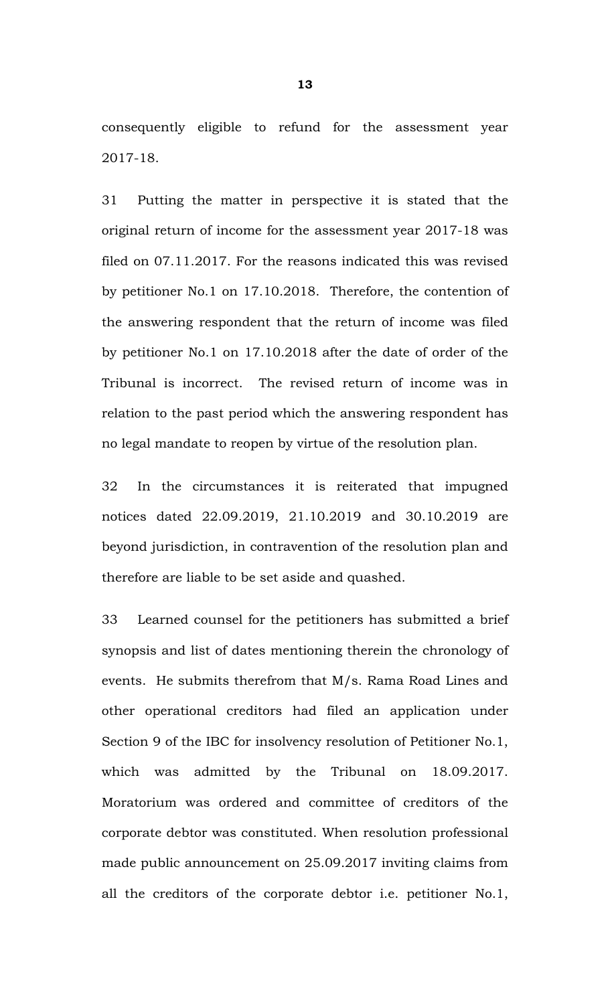consequently eligible to refund for the assessment year 2017-18.

31 Putting the matter in perspective it is stated that the original return of income for the assessment year 2017-18 was filed on 07.11.2017. For the reasons indicated this was revised by petitioner No.1 on 17.10.2018. Therefore, the contention of the answering respondent that the return of income was filed by petitioner No.1 on 17.10.2018 after the date of order of the Tribunal is incorrect. The revised return of income was in relation to the past period which the answering respondent has no legal mandate to reopen by virtue of the resolution plan.

32 In the circumstances it is reiterated that impugned notices dated 22.09.2019, 21.10.2019 and 30.10.2019 are beyond jurisdiction, in contravention of the resolution plan and therefore are liable to be set aside and quashed.

33 Learned counsel for the petitioners has submitted a brief synopsis and list of dates mentioning therein the chronology of events. He submits therefrom that M/s. Rama Road Lines and other operational creditors had filed an application under Section 9 of the IBC for insolvency resolution of Petitioner No.1, which was admitted by the Tribunal on 18.09.2017. Moratorium was ordered and committee of creditors of the corporate debtor was constituted. When resolution professional made public announcement on 25.09.2017 inviting claims from all the creditors of the corporate debtor i.e. petitioner No.1,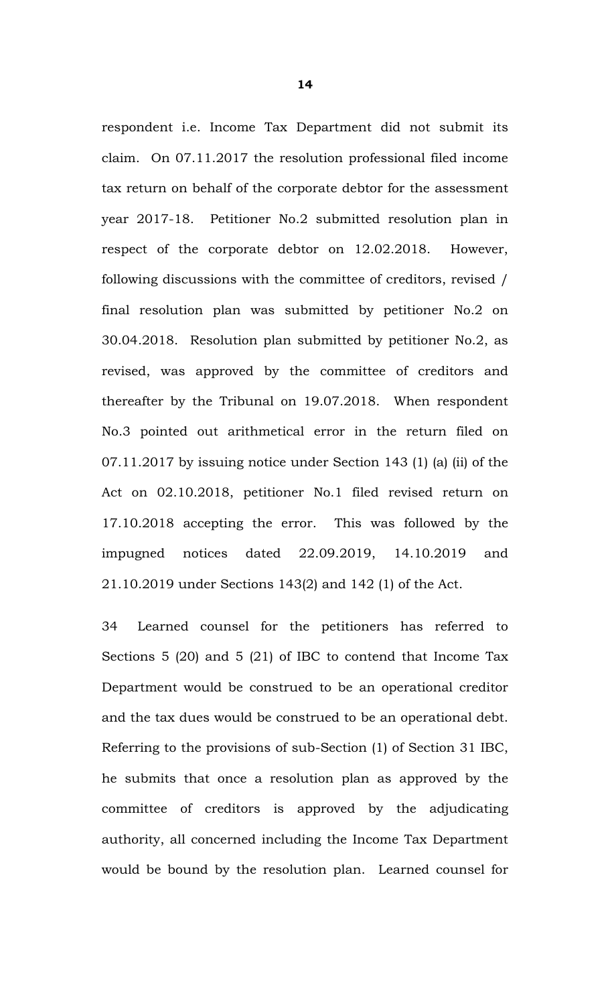respondent i.e. Income Tax Department did not submit its claim. On 07.11.2017 the resolution professional filed income tax return on behalf of the corporate debtor for the assessment year 2017-18. Petitioner No.2 submitted resolution plan in respect of the corporate debtor on 12.02.2018. However, following discussions with the committee of creditors, revised / final resolution plan was submitted by petitioner No.2 on 30.04.2018. Resolution plan submitted by petitioner No.2, as revised, was approved by the committee of creditors and thereafter by the Tribunal on 19.07.2018. When respondent No.3 pointed out arithmetical error in the return filed on 07.11.2017 by issuing notice under Section 143 (1) (a) (ii) of the Act on 02.10.2018, petitioner No.1 filed revised return on 17.10.2018 accepting the error. This was followed by the impugned notices dated 22.09.2019, 14.10.2019 and 21.10.2019 under Sections 143(2) and 142 (1) of the Act.

34 Learned counsel for the petitioners has referred to Sections 5 (20) and 5 (21) of IBC to contend that Income Tax Department would be construed to be an operational creditor and the tax dues would be construed to be an operational debt. Referring to the provisions of sub-Section (1) of Section 31 IBC, he submits that once a resolution plan as approved by the committee of creditors is approved by the adjudicating authority, all concerned including the Income Tax Department would be bound by the resolution plan. Learned counsel for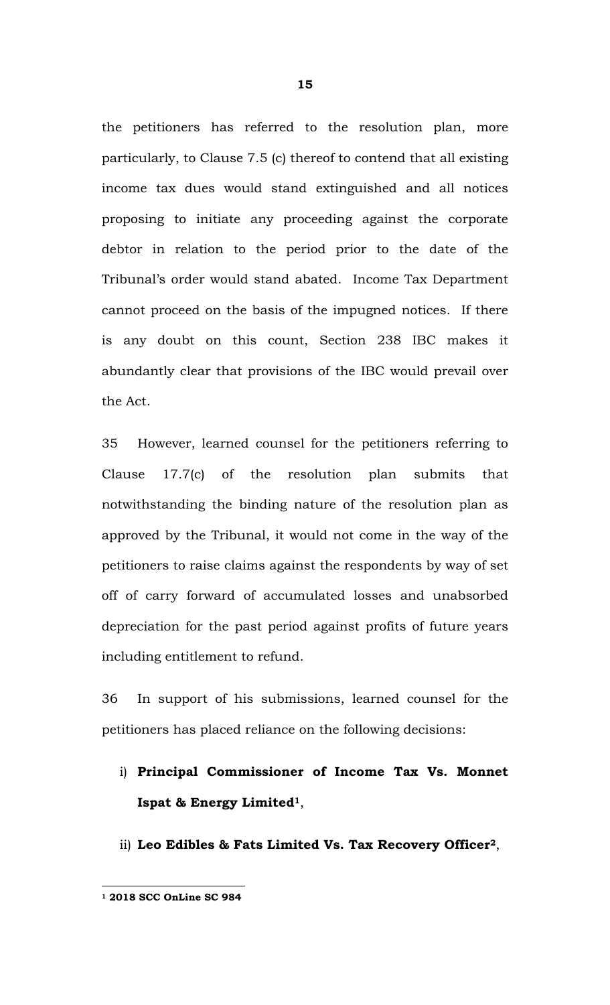the petitioners has referred to the resolution plan, more particularly, to Clause 7.5 (c) thereof to contend that all existing income tax dues would stand extinguished and all notices proposing to initiate any proceeding against the corporate debtor in relation to the period prior to the date of the Tribunal's order would stand abated. Income Tax Department cannot proceed on the basis of the impugned notices. If there is any doubt on this count, Section 238 IBC makes it abundantly clear that provisions of the IBC would prevail over the Act.

35 However, learned counsel for the petitioners referring to Clause 17.7(c) of the resolution plan submits that notwithstanding the binding nature of the resolution plan as approved by the Tribunal, it would not come in the way of the petitioners to raise claims against the respondents by way of set off of carry forward of accumulated losses and unabsorbed depreciation for the past period against profits of future years including entitlement to refund.

36 In support of his submissions, learned counsel for the petitioners has placed reliance on the following decisions:

- i) **Principal Commissioner of Income Tax Vs. Monnet Ispat & Energy Limited1**,
- ii) **Leo Edibles & Fats Limited Vs. Tax Recovery Officer2**,

**<sup>1 2018</sup> SCC OnLine SC 984**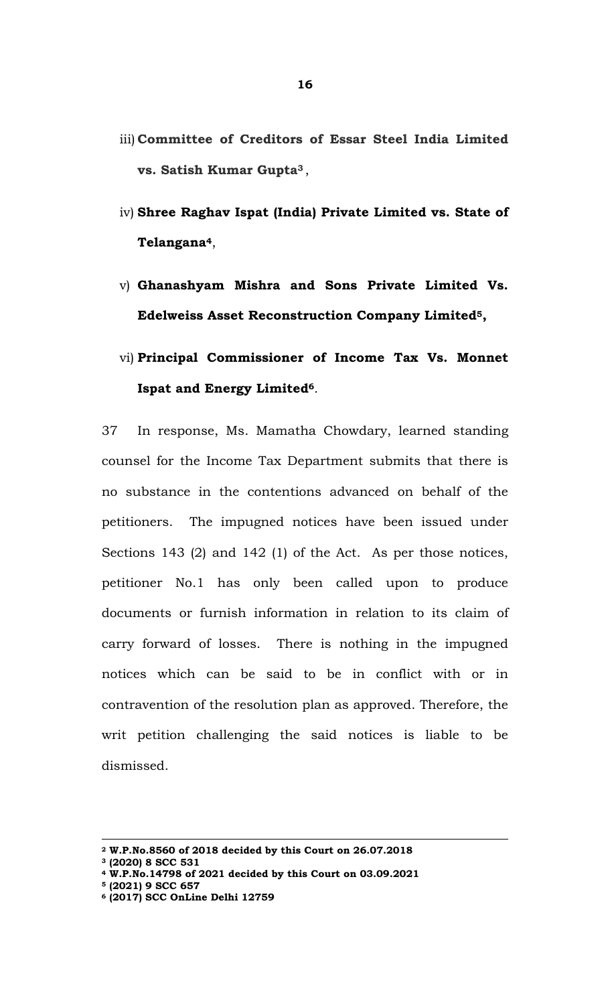- iii) **Committee of Creditors of Essar Steel India Limited vs. Satish Kumar Gupta3** ,
- iv) **Shree Raghav Ispat (India) Private Limited vs. State of Telangana4**,
- v) **Ghanashyam Mishra and Sons Private Limited Vs. Edelweiss Asset Reconstruction Company Limited5 ,**
- vi) **Principal Commissioner of Income Tax Vs. Monnet Ispat and Energy Limited6**.

37 In response, Ms. Mamatha Chowdary, learned standing counsel for the Income Tax Department submits that there is no substance in the contentions advanced on behalf of the petitioners. The impugned notices have been issued under Sections 143 (2) and 142 (1) of the Act. As per those notices, petitioner No.1 has only been called upon to produce documents or furnish information in relation to its claim of carry forward of losses. There is nothing in the impugned notices which can be said to be in conflict with or in contravention of the resolution plan as approved. Therefore, the writ petition challenging the said notices is liable to be dismissed.

**<sup>2</sup> W.P.No.8560 of 2018 decided by this Court on 26.07.2018** 

**<sup>3 (2020) 8</sup> SCC 531** 

**<sup>4</sup> W.P.No.14798 of 2021 decided by this Court on 03.09.2021** 

**<sup>5 (2021) 9</sup> SCC 657** 

**<sup>6 (2017)</sup> SCC OnLine Delhi 12759**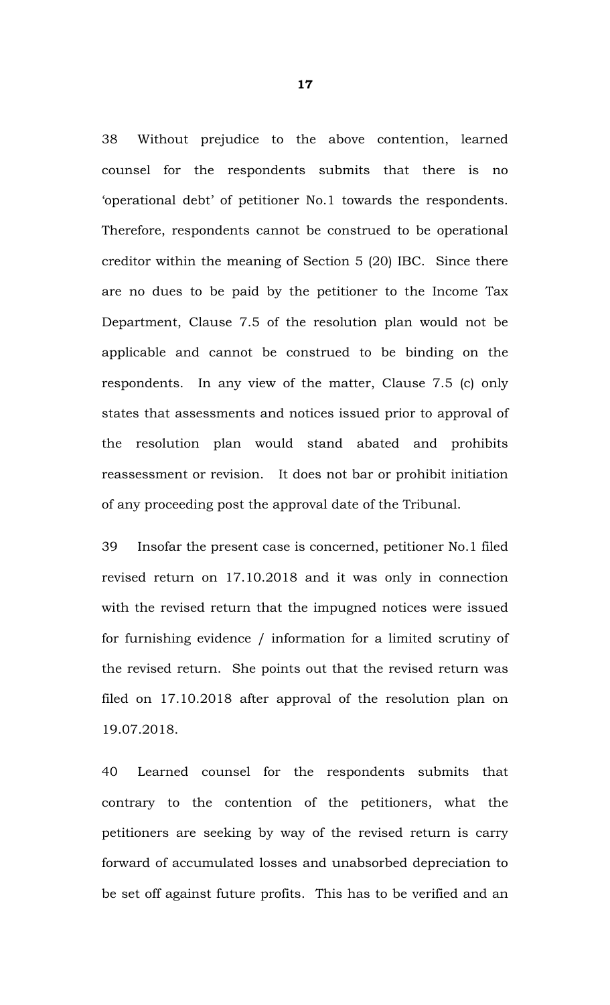38 Without prejudice to the above contention, learned counsel for the respondents submits that there is no 'operational debt' of petitioner No.1 towards the respondents. Therefore, respondents cannot be construed to be operational creditor within the meaning of Section 5 (20) IBC. Since there are no dues to be paid by the petitioner to the Income Tax Department, Clause 7.5 of the resolution plan would not be applicable and cannot be construed to be binding on the respondents. In any view of the matter, Clause 7.5 (c) only states that assessments and notices issued prior to approval of the resolution plan would stand abated and prohibits reassessment or revision. It does not bar or prohibit initiation of any proceeding post the approval date of the Tribunal.

39 Insofar the present case is concerned, petitioner No.1 filed revised return on 17.10.2018 and it was only in connection with the revised return that the impugned notices were issued for furnishing evidence / information for a limited scrutiny of the revised return. She points out that the revised return was filed on 17.10.2018 after approval of the resolution plan on 19.07.2018.

40 Learned counsel for the respondents submits that contrary to the contention of the petitioners, what the petitioners are seeking by way of the revised return is carry forward of accumulated losses and unabsorbed depreciation to be set off against future profits. This has to be verified and an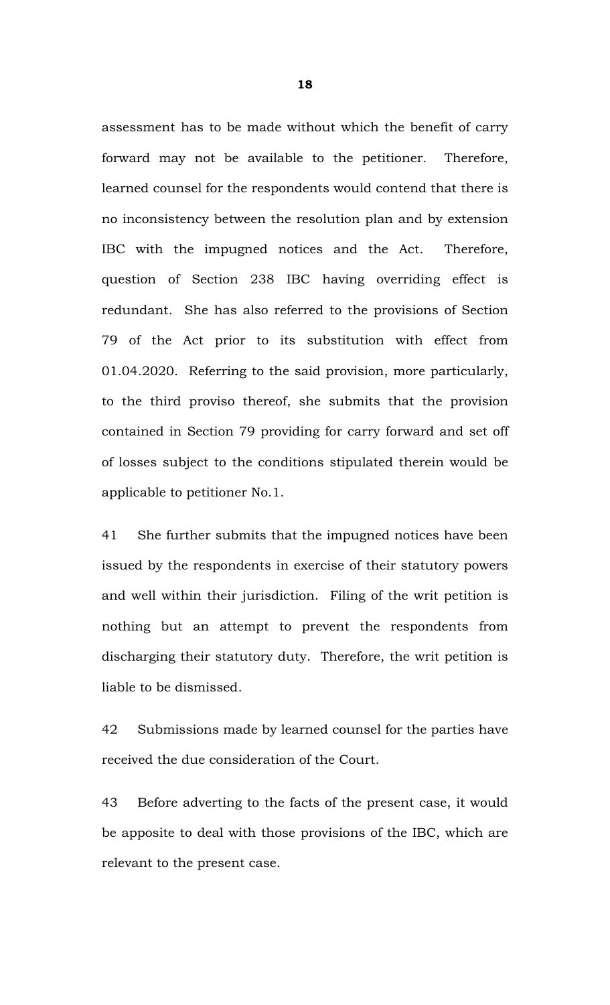assessment has to be made without which the benefit of carry forward may not be available to the petitioner. Therefore, learned counsel for the respondents would contend that there is no inconsistency between the resolution plan and by extension IBC with the impugned notices and the Act. Therefore, question of Section 238 IBC having overriding effect is redundant. She has also referred to the provisions of Section 79 of the Act prior to its substitution with effect from 01.04.2020. Referring to the said provision, more particularly, to the third proviso thereof, she submits that the provision contained in Section 79 providing for carry forward and set off of losses subject to the conditions stipulated therein would be applicable to petitioner No.1.

41 She further submits that the impugned notices have been issued by the respondents in exercise of their statutory powers and well within their jurisdiction. Filing of the writ petition is nothing but an attempt to prevent the respondents from discharging their statutory duty. Therefore, the writ petition is liable to be dismissed.

42 Submissions made by learned counsel for the parties have received the due consideration of the Court.

43 Before adverting to the facts of the present case, it would be apposite to deal with those provisions of the IBC, which are relevant to the present case.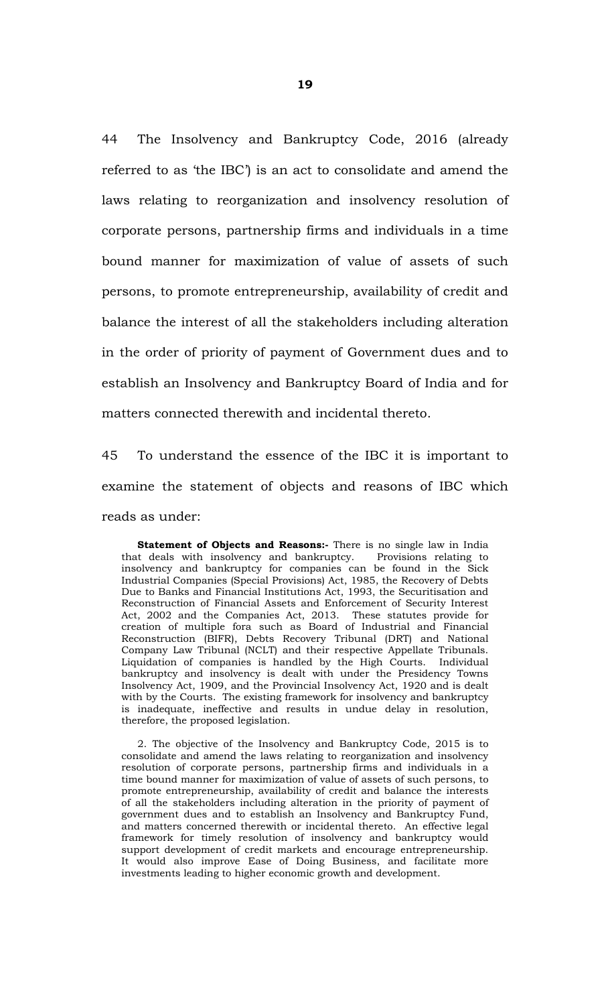44 The Insolvency and Bankruptcy Code, 2016 (already referred to as 'the IBC') is an act to consolidate and amend the laws relating to reorganization and insolvency resolution of corporate persons, partnership firms and individuals in a time bound manner for maximization of value of assets of such persons, to promote entrepreneurship, availability of credit and balance the interest of all the stakeholders including alteration in the order of priority of payment of Government dues and to establish an Insolvency and Bankruptcy Board of India and for matters connected therewith and incidental thereto.

45 To understand the essence of the IBC it is important to examine the statement of objects and reasons of IBC which reads as under:

**Statement of Objects and Reasons:-** There is no single law in India that deals with insolvency and bankruptcy. Provisions relating to insolvency and bankruptcy for companies can be found in the Sick Industrial Companies (Special Provisions) Act, 1985, the Recovery of Debts Due to Banks and Financial Institutions Act, 1993, the Securitisation and Reconstruction of Financial Assets and Enforcement of Security Interest Act, 2002 and the Companies Act, 2013. These statutes provide for creation of multiple fora such as Board of Industrial and Financial Reconstruction (BIFR), Debts Recovery Tribunal (DRT) and National Company Law Tribunal (NCLT) and their respective Appellate Tribunals. Liquidation of companies is handled by the High Courts. Individual bankruptcy and insolvency is dealt with under the Presidency Towns Insolvency Act, 1909, and the Provincial Insolvency Act, 1920 and is dealt with by the Courts. The existing framework for insolvency and bankruptcy is inadequate, ineffective and results in undue delay in resolution, therefore, the proposed legislation.

 2. The objective of the Insolvency and Bankruptcy Code, 2015 is to consolidate and amend the laws relating to reorganization and insolvency resolution of corporate persons, partnership firms and individuals in a time bound manner for maximization of value of assets of such persons, to promote entrepreneurship, availability of credit and balance the interests of all the stakeholders including alteration in the priority of payment of government dues and to establish an Insolvency and Bankruptcy Fund, and matters concerned therewith or incidental thereto. An effective legal framework for timely resolution of insolvency and bankruptcy would support development of credit markets and encourage entrepreneurship. It would also improve Ease of Doing Business, and facilitate more investments leading to higher economic growth and development.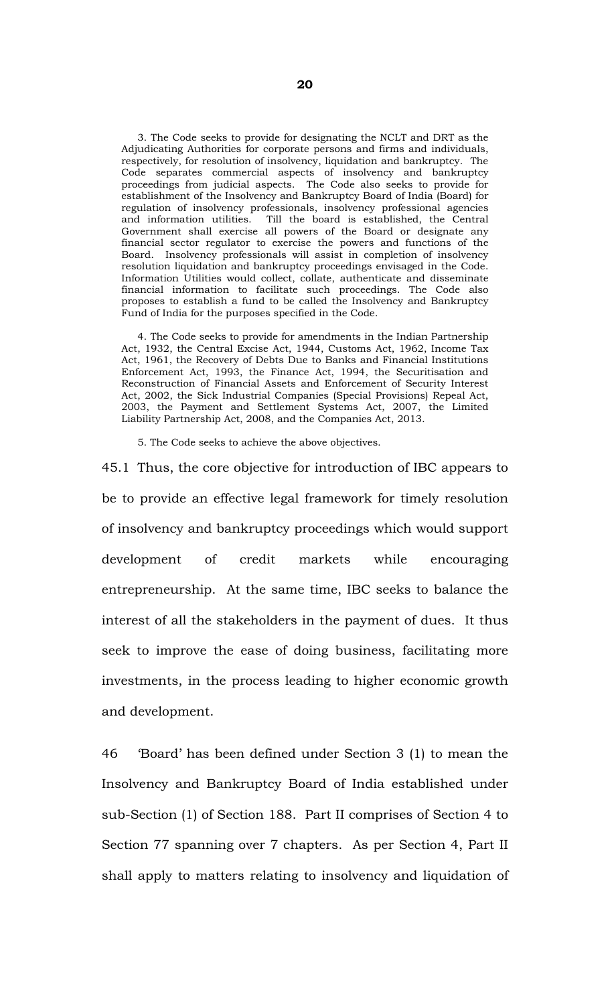3. The Code seeks to provide for designating the NCLT and DRT as the Adjudicating Authorities for corporate persons and firms and individuals, respectively, for resolution of insolvency, liquidation and bankruptcy. The Code separates commercial aspects of insolvency and bankruptcy proceedings from judicial aspects. The Code also seeks to provide for establishment of the Insolvency and Bankruptcy Board of India (Board) for regulation of insolvency professionals, insolvency professional agencies and information utilities. Till the board is established, the Central Government shall exercise all powers of the Board or designate any financial sector regulator to exercise the powers and functions of the Board. Insolvency professionals will assist in completion of insolvency resolution liquidation and bankruptcy proceedings envisaged in the Code. Information Utilities would collect, collate, authenticate and disseminate financial information to facilitate such proceedings. The Code also proposes to establish a fund to be called the Insolvency and Bankruptcy Fund of India for the purposes specified in the Code.

 4. The Code seeks to provide for amendments in the Indian Partnership Act, 1932, the Central Excise Act, 1944, Customs Act, 1962, Income Tax Act, 1961, the Recovery of Debts Due to Banks and Financial Institutions Enforcement Act, 1993, the Finance Act, 1994, the Securitisation and Reconstruction of Financial Assets and Enforcement of Security Interest Act, 2002, the Sick Industrial Companies (Special Provisions) Repeal Act, 2003, the Payment and Settlement Systems Act, 2007, the Limited Liability Partnership Act, 2008, and the Companies Act, 2013.

5. The Code seeks to achieve the above objectives.

45.1 Thus, the core objective for introduction of IBC appears to be to provide an effective legal framework for timely resolution of insolvency and bankruptcy proceedings which would support development of credit markets while encouraging entrepreneurship. At the same time, IBC seeks to balance the interest of all the stakeholders in the payment of dues. It thus seek to improve the ease of doing business, facilitating more investments, in the process leading to higher economic growth and development.

46 'Board' has been defined under Section 3 (1) to mean the Insolvency and Bankruptcy Board of India established under sub-Section (1) of Section 188. Part II comprises of Section 4 to Section 77 spanning over 7 chapters. As per Section 4, Part II shall apply to matters relating to insolvency and liquidation of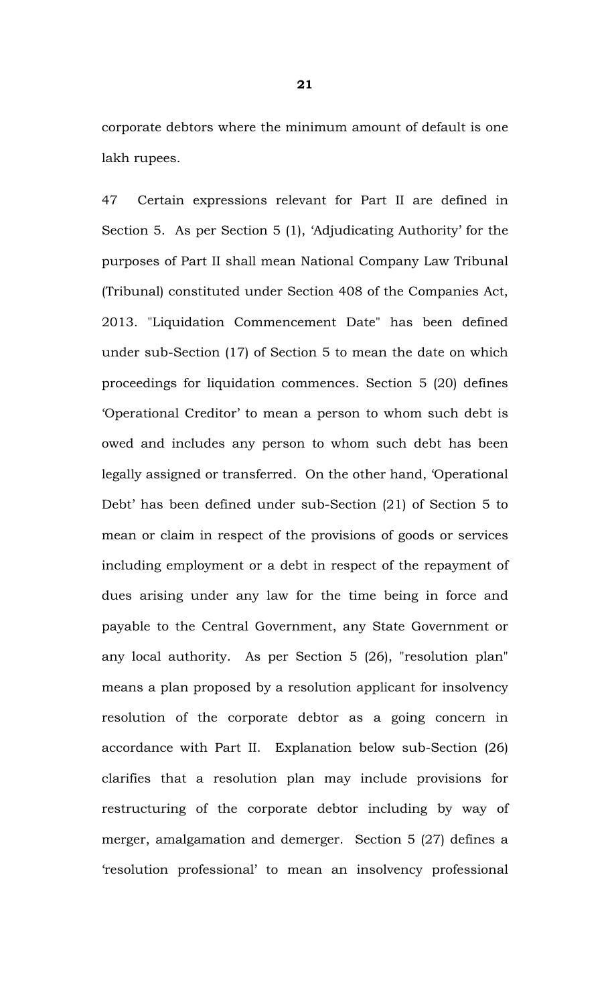corporate debtors where the minimum amount of default is one lakh rupees.

47 Certain expressions relevant for Part II are defined in Section 5. As per Section 5 (1), 'Adjudicating Authority' for the purposes of Part II shall mean National Company Law Tribunal (Tribunal) constituted under Section 408 of the Companies Act, 2013. "Liquidation Commencement Date" has been defined under sub-Section (17) of Section 5 to mean the date on which proceedings for liquidation commences. Section 5 (20) defines 'Operational Creditor' to mean a person to whom such debt is owed and includes any person to whom such debt has been legally assigned or transferred. On the other hand, 'Operational Debt' has been defined under sub-Section (21) of Section 5 to mean or claim in respect of the provisions of goods or services including employment or a debt in respect of the repayment of dues arising under any law for the time being in force and payable to the Central Government, any State Government or any local authority. As per Section 5 (26), "resolution plan" means a plan proposed by a resolution applicant for insolvency resolution of the corporate debtor as a going concern in accordance with Part II. Explanation below sub-Section (26) clarifies that a resolution plan may include provisions for restructuring of the corporate debtor including by way of merger, amalgamation and demerger. Section 5 (27) defines a 'resolution professional' to mean an insolvency professional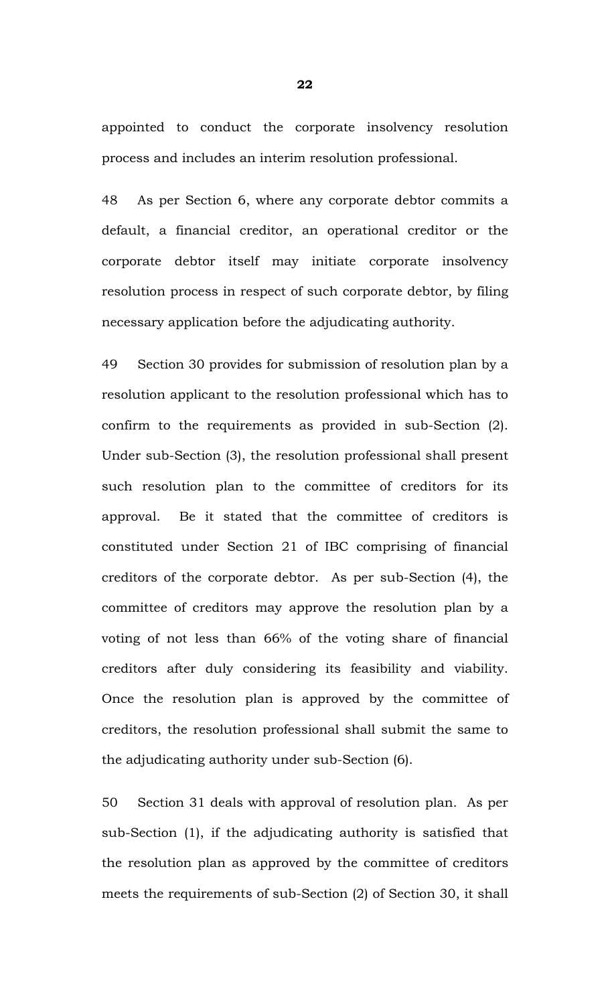appointed to conduct the corporate insolvency resolution process and includes an interim resolution professional.

48 As per Section 6, where any corporate debtor commits a default, a financial creditor, an operational creditor or the corporate debtor itself may initiate corporate insolvency resolution process in respect of such corporate debtor, by filing necessary application before the adjudicating authority.

49 Section 30 provides for submission of resolution plan by a resolution applicant to the resolution professional which has to confirm to the requirements as provided in sub-Section (2). Under sub-Section (3), the resolution professional shall present such resolution plan to the committee of creditors for its approval. Be it stated that the committee of creditors is constituted under Section 21 of IBC comprising of financial creditors of the corporate debtor. As per sub-Section (4), the committee of creditors may approve the resolution plan by a voting of not less than 66% of the voting share of financial creditors after duly considering its feasibility and viability. Once the resolution plan is approved by the committee of creditors, the resolution professional shall submit the same to the adjudicating authority under sub-Section (6).

50 Section 31 deals with approval of resolution plan. As per sub-Section (1), if the adjudicating authority is satisfied that the resolution plan as approved by the committee of creditors meets the requirements of sub-Section (2) of Section 30, it shall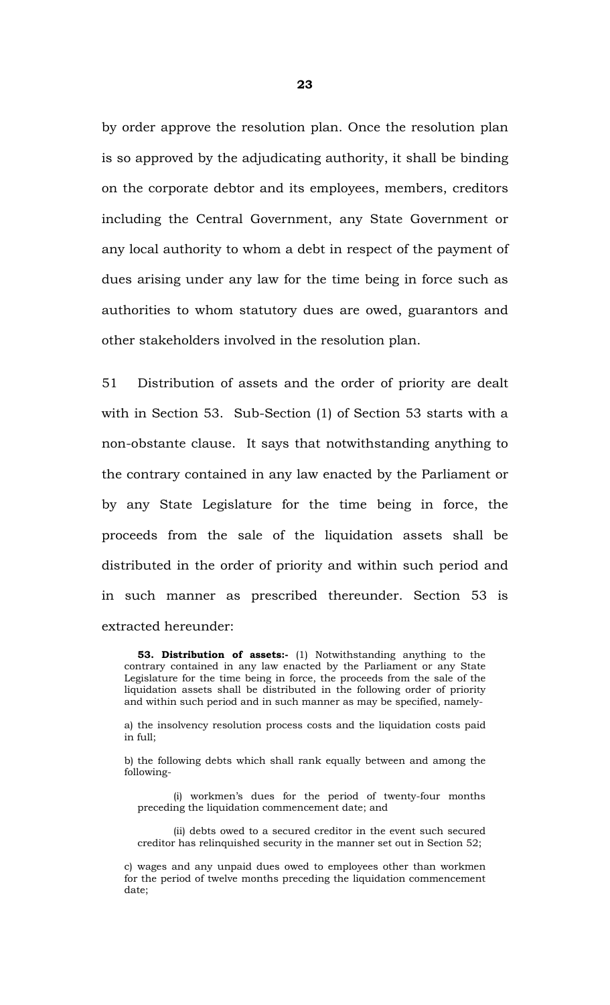by order approve the resolution plan. Once the resolution plan is so approved by the adjudicating authority, it shall be binding on the corporate debtor and its employees, members, creditors including the Central Government, any State Government or any local authority to whom a debt in respect of the payment of dues arising under any law for the time being in force such as authorities to whom statutory dues are owed, guarantors and other stakeholders involved in the resolution plan.

51 Distribution of assets and the order of priority are dealt with in Section 53. Sub-Section (1) of Section 53 starts with a non-obstante clause. It says that notwithstanding anything to the contrary contained in any law enacted by the Parliament or by any State Legislature for the time being in force, the proceeds from the sale of the liquidation assets shall be distributed in the order of priority and within such period and in such manner as prescribed thereunder. Section 53 is extracted hereunder:

**53. Distribution of assets:-** (1) Notwithstanding anything to the contrary contained in any law enacted by the Parliament or any State Legislature for the time being in force, the proceeds from the sale of the liquidation assets shall be distributed in the following order of priority and within such period and in such manner as may be specified, namely-

a) the insolvency resolution process costs and the liquidation costs paid in full;

b) the following debts which shall rank equally between and among the following-

 (i) workmen's dues for the period of twenty-four months preceding the liquidation commencement date; and

 (ii) debts owed to a secured creditor in the event such secured creditor has relinquished security in the manner set out in Section 52;

c) wages and any unpaid dues owed to employees other than workmen for the period of twelve months preceding the liquidation commencement date;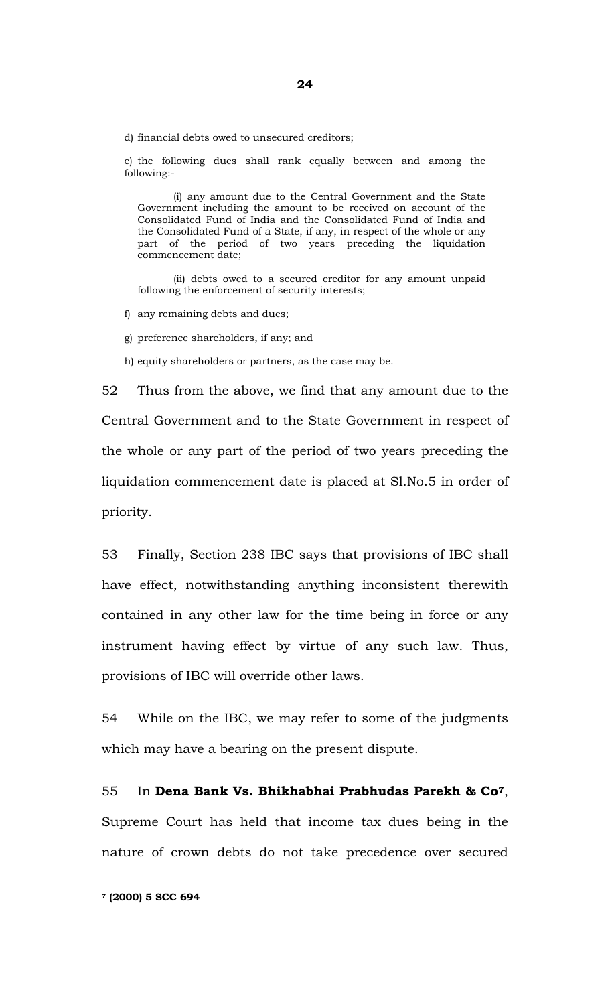d) financial debts owed to unsecured creditors;

e) the following dues shall rank equally between and among the following:-

 (i) any amount due to the Central Government and the State Government including the amount to be received on account of the Consolidated Fund of India and the Consolidated Fund of India and the Consolidated Fund of a State, if any, in respect of the whole or any part of the period of two years preceding the liquidation commencement date;

 (ii) debts owed to a secured creditor for any amount unpaid following the enforcement of security interests;

f) any remaining debts and dues;

g) preference shareholders, if any; and

h) equity shareholders or partners, as the case may be.

52 Thus from the above, we find that any amount due to the Central Government and to the State Government in respect of the whole or any part of the period of two years preceding the liquidation commencement date is placed at Sl.No.5 in order of priority.

53 Finally, Section 238 IBC says that provisions of IBC shall have effect, notwithstanding anything inconsistent therewith contained in any other law for the time being in force or any instrument having effect by virtue of any such law. Thus, provisions of IBC will override other laws.

54 While on the IBC, we may refer to some of the judgments which may have a bearing on the present dispute.

55 In **Dena Bank Vs. Bhikhabhai Prabhudas Parekh & Co7**, Supreme Court has held that income tax dues being in the nature of crown debts do not take precedence over secured

**7 (2000) 5 SCC 694**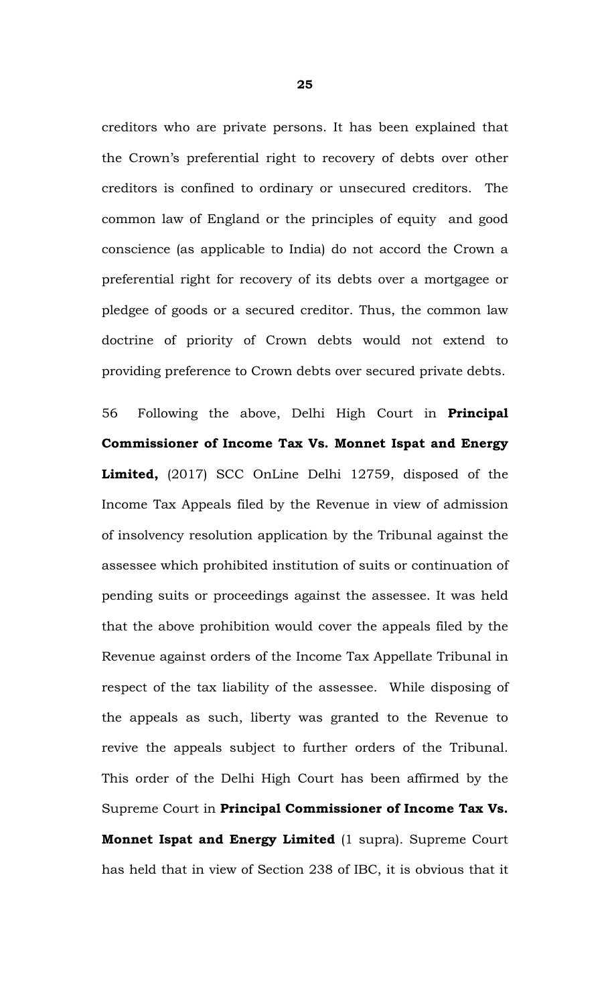creditors who are private persons. It has been explained that the Crown's preferential right to recovery of debts over other creditors is confined to ordinary or unsecured creditors. The common law of England or the principles of equity and good conscience (as applicable to India) do not accord the Crown a preferential right for recovery of its debts over a mortgagee or pledgee of goods or a secured creditor. Thus, the common law doctrine of priority of Crown debts would not extend to providing preference to Crown debts over secured private debts.

56 Following the above, Delhi High Court in **Principal Commissioner of Income Tax Vs. Monnet Ispat and Energy Limited,** (2017) SCC OnLine Delhi 12759, disposed of the Income Tax Appeals filed by the Revenue in view of admission of insolvency resolution application by the Tribunal against the assessee which prohibited institution of suits or continuation of pending suits or proceedings against the assessee. It was held that the above prohibition would cover the appeals filed by the Revenue against orders of the Income Tax Appellate Tribunal in respect of the tax liability of the assessee. While disposing of the appeals as such, liberty was granted to the Revenue to revive the appeals subject to further orders of the Tribunal. This order of the Delhi High Court has been affirmed by the Supreme Court in **Principal Commissioner of Income Tax Vs. Monnet Ispat and Energy Limited** (1 supra). Supreme Court has held that in view of Section 238 of IBC, it is obvious that it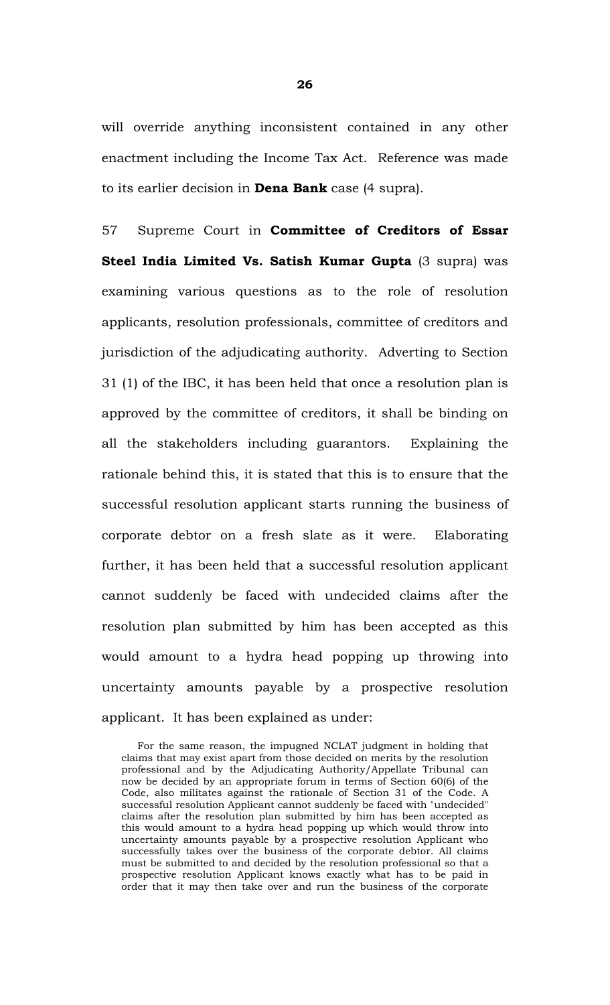will override anything inconsistent contained in any other enactment including the Income Tax Act. Reference was made to its earlier decision in **Dena Bank** case (4 supra).

57 Supreme Court in **Committee of Creditors of Essar Steel India Limited Vs. Satish Kumar Gupta** (3 supra) was examining various questions as to the role of resolution applicants, resolution professionals, committee of creditors and jurisdiction of the adjudicating authority. Adverting to Section 31 (1) of the IBC, it has been held that once a resolution plan is approved by the committee of creditors, it shall be binding on all the stakeholders including guarantors. Explaining the rationale behind this, it is stated that this is to ensure that the successful resolution applicant starts running the business of corporate debtor on a fresh slate as it were. Elaborating further, it has been held that a successful resolution applicant cannot suddenly be faced with undecided claims after the resolution plan submitted by him has been accepted as this would amount to a hydra head popping up throwing into uncertainty amounts payable by a prospective resolution applicant. It has been explained as under:

For the same reason, the impugned NCLAT judgment in holding that claims that may exist apart from those decided on merits by the resolution professional and by the Adjudicating Authority/Appellate Tribunal can now be decided by an appropriate forum in terms of Section 60(6) of the Code, also militates against the rationale of Section 31 of the Code. A successful resolution Applicant cannot suddenly be faced with "undecided" claims after the resolution plan submitted by him has been accepted as this would amount to a hydra head popping up which would throw into uncertainty amounts payable by a prospective resolution Applicant who successfully takes over the business of the corporate debtor. All claims must be submitted to and decided by the resolution professional so that a prospective resolution Applicant knows exactly what has to be paid in order that it may then take over and run the business of the corporate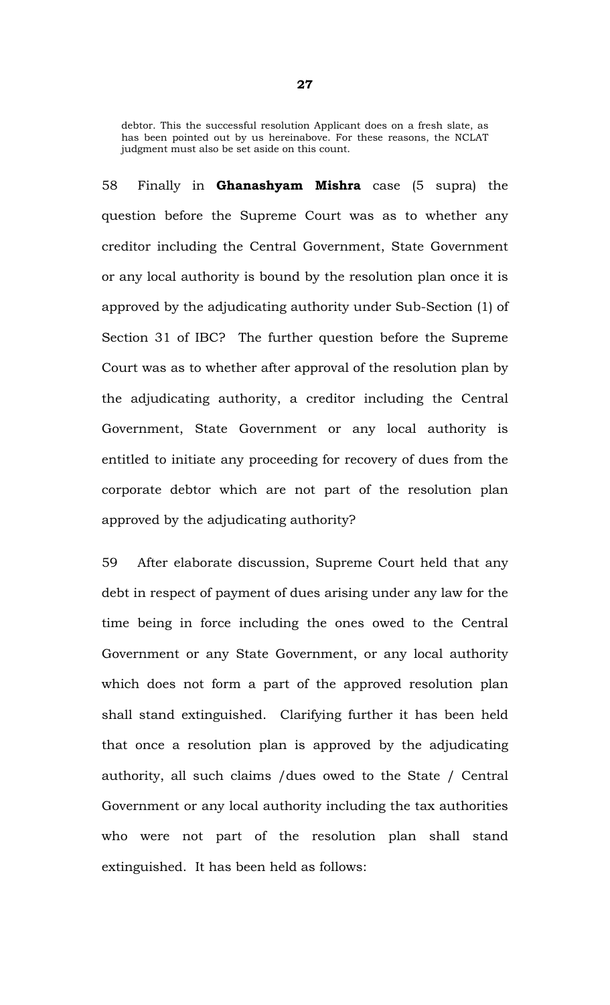debtor. This the successful resolution Applicant does on a fresh slate, as has been pointed out by us hereinabove. For these reasons, the NCLAT judgment must also be set aside on this count.

58 Finally in **Ghanashyam Mishra** case (5 supra) the question before the Supreme Court was as to whether any creditor including the Central Government, State Government or any local authority is bound by the resolution plan once it is approved by the adjudicating authority under Sub-Section (1) of Section 31 of IBC? The further question before the Supreme Court was as to whether after approval of the resolution plan by the adjudicating authority, a creditor including the Central Government, State Government or any local authority is entitled to initiate any proceeding for recovery of dues from the corporate debtor which are not part of the resolution plan approved by the adjudicating authority?

59 After elaborate discussion, Supreme Court held that any debt in respect of payment of dues arising under any law for the time being in force including the ones owed to the Central Government or any State Government, or any local authority which does not form a part of the approved resolution plan shall stand extinguished. Clarifying further it has been held that once a resolution plan is approved by the adjudicating authority, all such claims /dues owed to the State / Central Government or any local authority including the tax authorities who were not part of the resolution plan shall stand extinguished. It has been held as follows: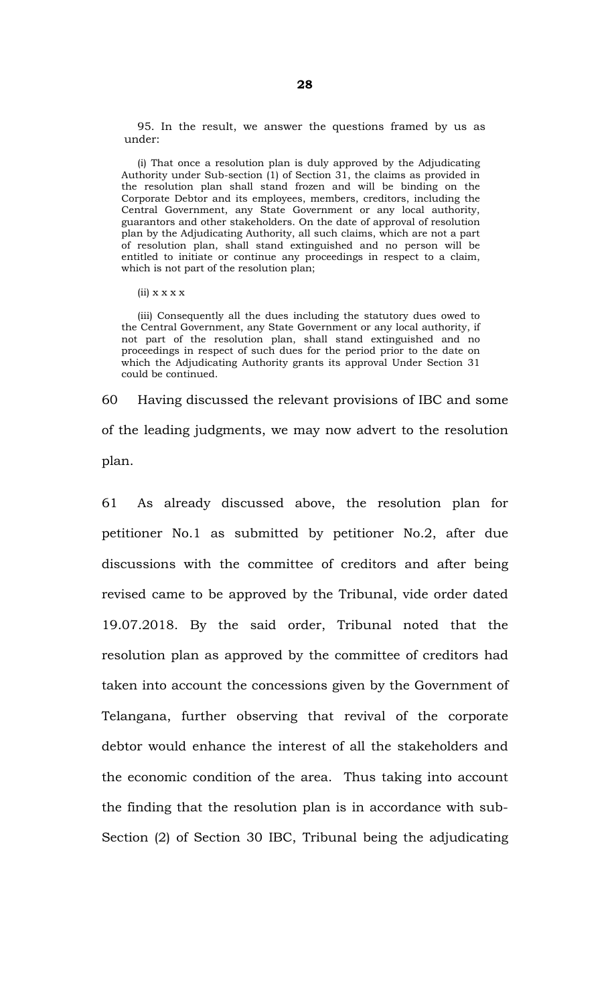95. In the result, we answer the questions framed by us as under:

 (i) That once a resolution plan is duly approved by the Adjudicating Authority under Sub-section (1) of Section 31, the claims as provided in the resolution plan shall stand frozen and will be binding on the Corporate Debtor and its employees, members, creditors, including the Central Government, any State Government or any local authority, guarantors and other stakeholders. On the date of approval of resolution plan by the Adjudicating Authority, all such claims, which are not a part of resolution plan, shall stand extinguished and no person will be entitled to initiate or continue any proceedings in respect to a claim, which is not part of the resolution plan;

 $(ii)$  x x x x

 (iii) Consequently all the dues including the statutory dues owed to the Central Government, any State Government or any local authority, if not part of the resolution plan, shall stand extinguished and no proceedings in respect of such dues for the period prior to the date on which the Adjudicating Authority grants its approval Under Section 31 could be continued.

60 Having discussed the relevant provisions of IBC and some of the leading judgments, we may now advert to the resolution plan.

61 As already discussed above, the resolution plan for petitioner No.1 as submitted by petitioner No.2, after due discussions with the committee of creditors and after being revised came to be approved by the Tribunal, vide order dated 19.07.2018. By the said order, Tribunal noted that the resolution plan as approved by the committee of creditors had taken into account the concessions given by the Government of Telangana, further observing that revival of the corporate debtor would enhance the interest of all the stakeholders and the economic condition of the area. Thus taking into account the finding that the resolution plan is in accordance with sub-Section (2) of Section 30 IBC, Tribunal being the adjudicating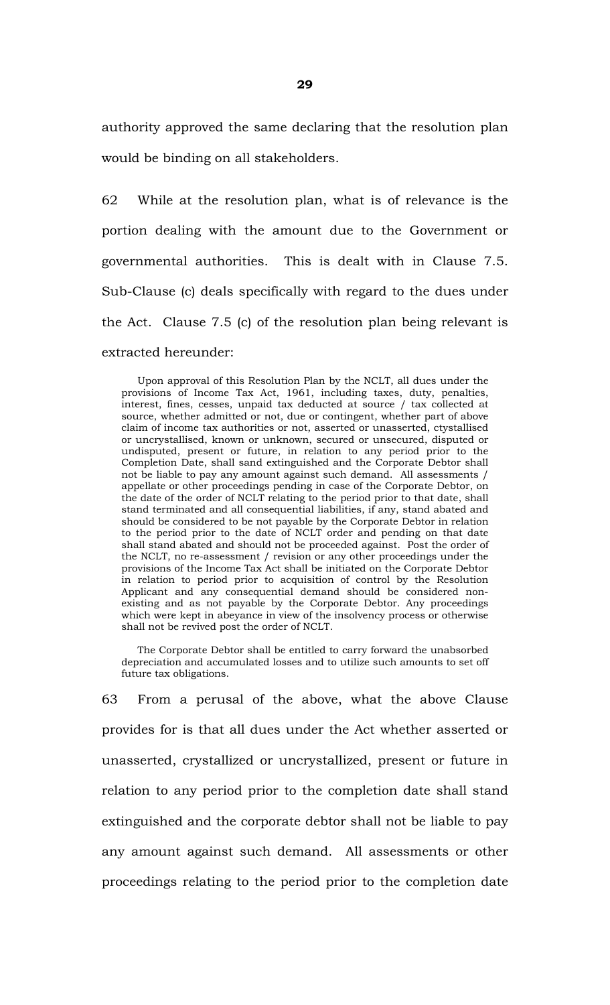authority approved the same declaring that the resolution plan would be binding on all stakeholders.

62 While at the resolution plan, what is of relevance is the portion dealing with the amount due to the Government or governmental authorities. This is dealt with in Clause 7.5. Sub-Clause (c) deals specifically with regard to the dues under the Act. Clause 7.5 (c) of the resolution plan being relevant is extracted hereunder:

 Upon approval of this Resolution Plan by the NCLT, all dues under the provisions of Income Tax Act, 1961, including taxes, duty, penalties, interest, fines, cesses, unpaid tax deducted at source / tax collected at source, whether admitted or not, due or contingent, whether part of above claim of income tax authorities or not, asserted or unasserted, ctystallised or uncrystallised, known or unknown, secured or unsecured, disputed or undisputed, present or future, in relation to any period prior to the Completion Date, shall sand extinguished and the Corporate Debtor shall not be liable to pay any amount against such demand. All assessments / appellate or other proceedings pending in case of the Corporate Debtor, on the date of the order of NCLT relating to the period prior to that date, shall stand terminated and all consequential liabilities, if any, stand abated and should be considered to be not payable by the Corporate Debtor in relation to the period prior to the date of NCLT order and pending on that date shall stand abated and should not be proceeded against. Post the order of the NCLT, no re-assessment / revision or any other proceedings under the provisions of the Income Tax Act shall be initiated on the Corporate Debtor in relation to period prior to acquisition of control by the Resolution Applicant and any consequential demand should be considered nonexisting and as not payable by the Corporate Debtor. Any proceedings which were kept in abeyance in view of the insolvency process or otherwise shall not be revived post the order of NCLT.

 The Corporate Debtor shall be entitled to carry forward the unabsorbed depreciation and accumulated losses and to utilize such amounts to set off future tax obligations.

63 From a perusal of the above, what the above Clause provides for is that all dues under the Act whether asserted or unasserted, crystallized or uncrystallized, present or future in relation to any period prior to the completion date shall stand extinguished and the corporate debtor shall not be liable to pay any amount against such demand. All assessments or other proceedings relating to the period prior to the completion date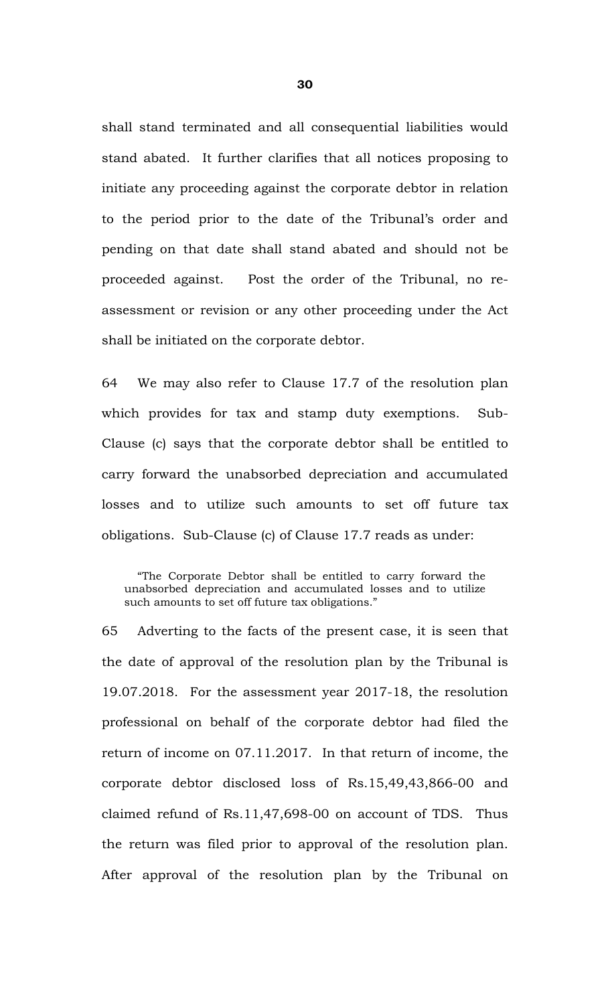shall stand terminated and all consequential liabilities would stand abated. It further clarifies that all notices proposing to initiate any proceeding against the corporate debtor in relation to the period prior to the date of the Tribunal's order and pending on that date shall stand abated and should not be proceeded against. Post the order of the Tribunal, no reassessment or revision or any other proceeding under the Act shall be initiated on the corporate debtor.

64 We may also refer to Clause 17.7 of the resolution plan which provides for tax and stamp duty exemptions. Sub-Clause (c) says that the corporate debtor shall be entitled to carry forward the unabsorbed depreciation and accumulated losses and to utilize such amounts to set off future tax obligations. Sub-Clause (c) of Clause 17.7 reads as under:

 "The Corporate Debtor shall be entitled to carry forward the unabsorbed depreciation and accumulated losses and to utilize such amounts to set off future tax obligations."

65 Adverting to the facts of the present case, it is seen that the date of approval of the resolution plan by the Tribunal is 19.07.2018. For the assessment year 2017-18, the resolution professional on behalf of the corporate debtor had filed the return of income on 07.11.2017. In that return of income, the corporate debtor disclosed loss of Rs.15,49,43,866-00 and claimed refund of Rs.11,47,698-00 on account of TDS. Thus the return was filed prior to approval of the resolution plan. After approval of the resolution plan by the Tribunal on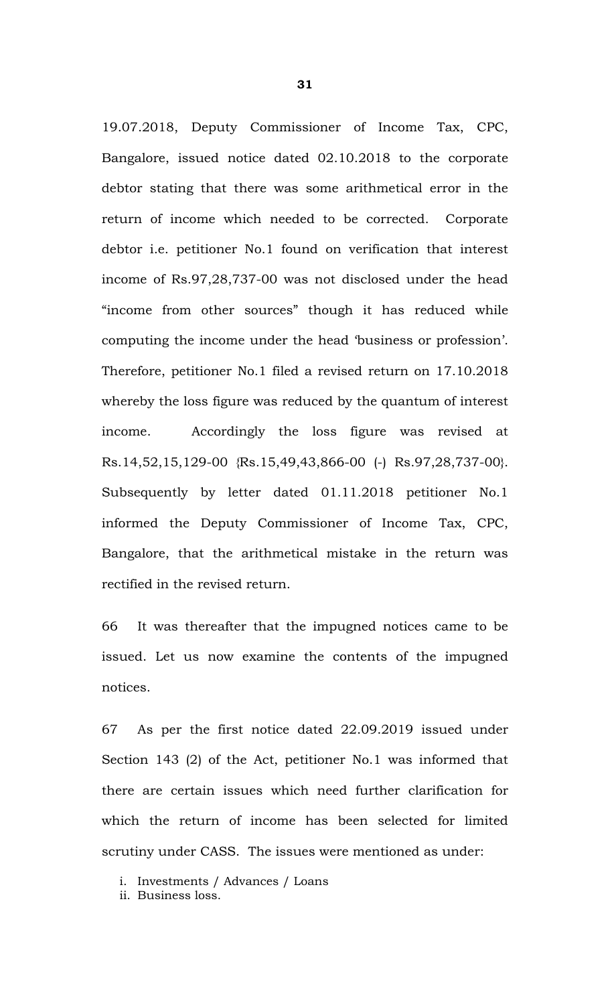19.07.2018, Deputy Commissioner of Income Tax, CPC, Bangalore, issued notice dated 02.10.2018 to the corporate debtor stating that there was some arithmetical error in the return of income which needed to be corrected. Corporate debtor i.e. petitioner No.1 found on verification that interest income of Rs.97,28,737-00 was not disclosed under the head "income from other sources" though it has reduced while computing the income under the head 'business or profession'. Therefore, petitioner No.1 filed a revised return on 17.10.2018 whereby the loss figure was reduced by the quantum of interest income. Accordingly the loss figure was revised at Rs.14,52,15,129-00 {Rs.15,49,43,866-00 (-) Rs.97,28,737-00}. Subsequently by letter dated 01.11.2018 petitioner No.1 informed the Deputy Commissioner of Income Tax, CPC, Bangalore, that the arithmetical mistake in the return was rectified in the revised return.

66 It was thereafter that the impugned notices came to be issued. Let us now examine the contents of the impugned notices.

67 As per the first notice dated 22.09.2019 issued under Section 143 (2) of the Act, petitioner No.1 was informed that there are certain issues which need further clarification for which the return of income has been selected for limited scrutiny under CASS. The issues were mentioned as under:

i. Investments / Advances / Loans

ii. Business loss.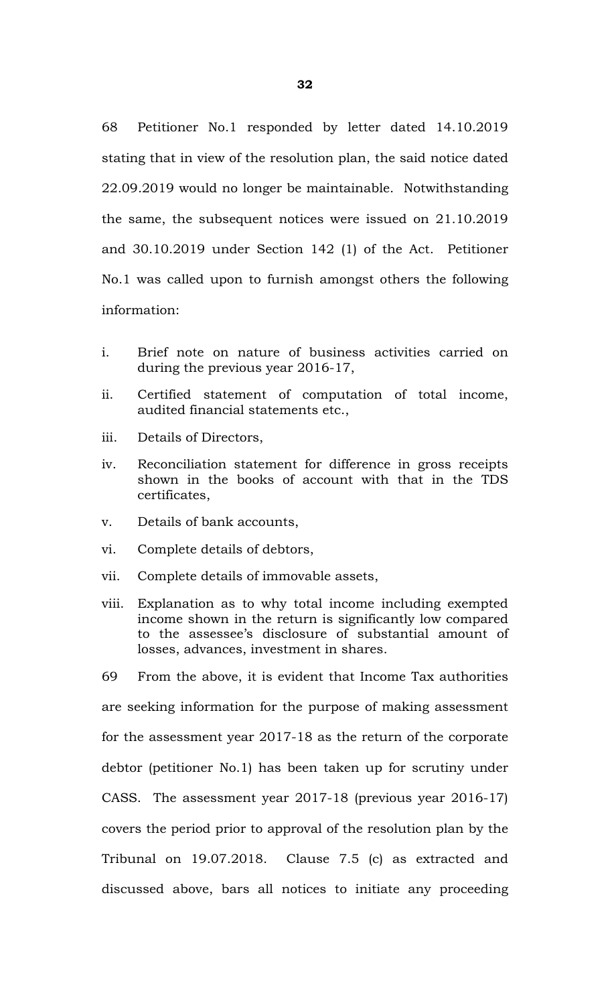68 Petitioner No.1 responded by letter dated 14.10.2019 stating that in view of the resolution plan, the said notice dated 22.09.2019 would no longer be maintainable. Notwithstanding the same, the subsequent notices were issued on 21.10.2019 and 30.10.2019 under Section 142 (1) of the Act. Petitioner No.1 was called upon to furnish amongst others the following information:

- i. Brief note on nature of business activities carried on during the previous year 2016-17,
- ii. Certified statement of computation of total income, audited financial statements etc.,
- iii. Details of Directors,
- iv. Reconciliation statement for difference in gross receipts shown in the books of account with that in the TDS certificates,
- v. Details of bank accounts,
- vi. Complete details of debtors,
- vii. Complete details of immovable assets,
- viii. Explanation as to why total income including exempted income shown in the return is significantly low compared to the assessee's disclosure of substantial amount of losses, advances, investment in shares.

69 From the above, it is evident that Income Tax authorities are seeking information for the purpose of making assessment for the assessment year 2017-18 as the return of the corporate debtor (petitioner No.1) has been taken up for scrutiny under CASS. The assessment year 2017-18 (previous year 2016-17) covers the period prior to approval of the resolution plan by the Tribunal on 19.07.2018. Clause 7.5 (c) as extracted and discussed above, bars all notices to initiate any proceeding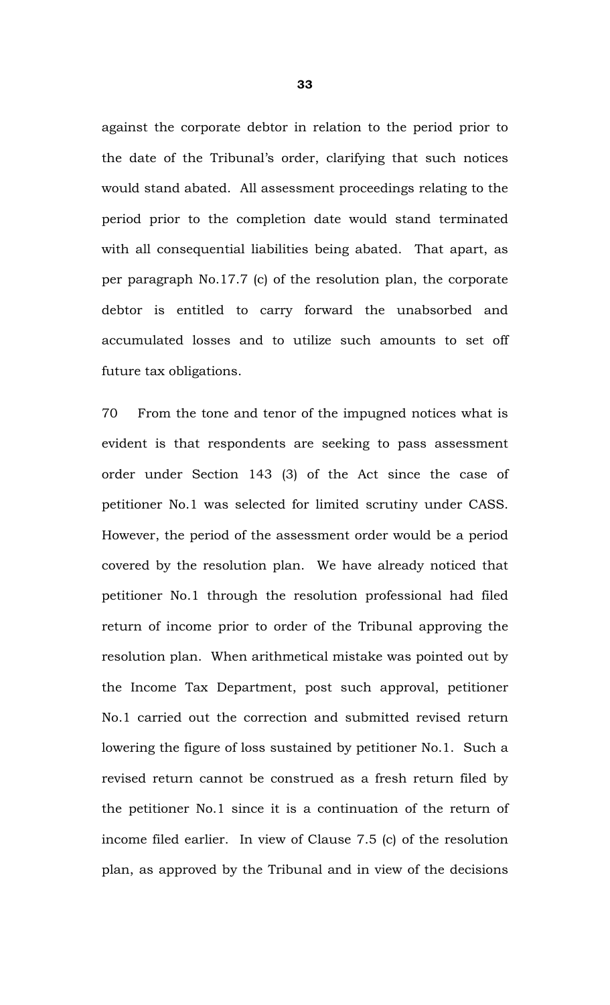against the corporate debtor in relation to the period prior to the date of the Tribunal's order, clarifying that such notices would stand abated. All assessment proceedings relating to the period prior to the completion date would stand terminated with all consequential liabilities being abated. That apart, as per paragraph No.17.7 (c) of the resolution plan, the corporate debtor is entitled to carry forward the unabsorbed and accumulated losses and to utilize such amounts to set off future tax obligations.

70 From the tone and tenor of the impugned notices what is evident is that respondents are seeking to pass assessment order under Section 143 (3) of the Act since the case of petitioner No.1 was selected for limited scrutiny under CASS. However, the period of the assessment order would be a period covered by the resolution plan. We have already noticed that petitioner No.1 through the resolution professional had filed return of income prior to order of the Tribunal approving the resolution plan. When arithmetical mistake was pointed out by the Income Tax Department, post such approval, petitioner No.1 carried out the correction and submitted revised return lowering the figure of loss sustained by petitioner No.1. Such a revised return cannot be construed as a fresh return filed by the petitioner No.1 since it is a continuation of the return of income filed earlier. In view of Clause 7.5 (c) of the resolution plan, as approved by the Tribunal and in view of the decisions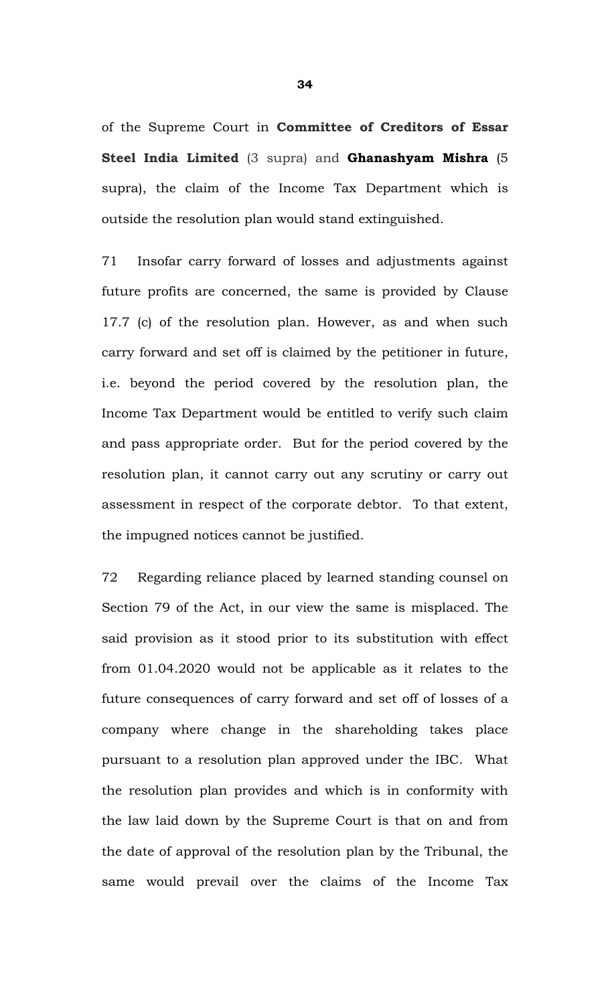of the Supreme Court in **Committee of Creditors of Essar Steel India Limited** (3 supra) and **Ghanashyam Mishra** (5 supra), the claim of the Income Tax Department which is outside the resolution plan would stand extinguished.

71 Insofar carry forward of losses and adjustments against future profits are concerned, the same is provided by Clause 17.7 (c) of the resolution plan. However, as and when such carry forward and set off is claimed by the petitioner in future, i.e. beyond the period covered by the resolution plan, the Income Tax Department would be entitled to verify such claim and pass appropriate order. But for the period covered by the resolution plan, it cannot carry out any scrutiny or carry out assessment in respect of the corporate debtor. To that extent, the impugned notices cannot be justified.

72 Regarding reliance placed by learned standing counsel on Section 79 of the Act, in our view the same is misplaced. The said provision as it stood prior to its substitution with effect from 01.04.2020 would not be applicable as it relates to the future consequences of carry forward and set off of losses of a company where change in the shareholding takes place pursuant to a resolution plan approved under the IBC. What the resolution plan provides and which is in conformity with the law laid down by the Supreme Court is that on and from the date of approval of the resolution plan by the Tribunal, the same would prevail over the claims of the Income Tax